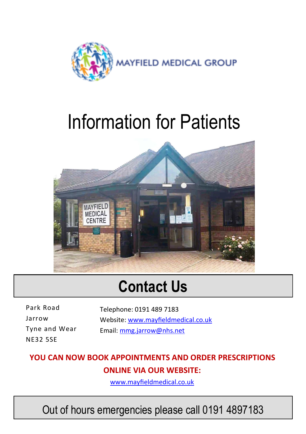

## Information for Patients



## **Contact Us**

Park Road Jarrow Tyne and Wear NE32 5SE

Telephone: 0191 489 7183 Website: [www.mayfieldmedical.co.uk](https://www.mayfieldmedical.co.uk) Email: [mmg.jarrow@nhs.net](mailto:mmg.jarrow@nhs.net)

#### **YOU CAN NOW BOOK APPOINTMENTS AND ORDER PRESCRIPTIONS ONLINE VIA OUR WEBSITE:**

[www.mayfieldmedical.co.uk](https://www.mayfieldmedical.co.uk)

Out of hours emergencies please call 0191 4897183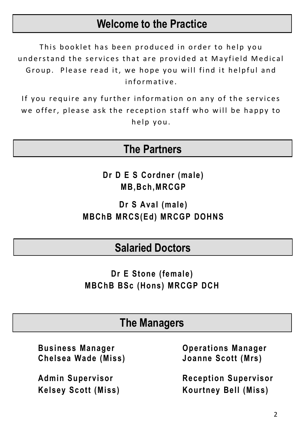#### **Welcome to the Practice**

This booklet has been produced in order to help you understand the services that are provided at Mayfield Medical Group. Please read it, we hope you will find it helpful and informative

If you require any further information on any of the services we offer, please ask the reception staff who will be happy to help you.

#### **The Partners**

**Dr D E S Cordner (male) MB,Bch,MRCGP**

**Dr S Aval (male) MBChB MRCS(Ed) MRCGP DOHNS**

#### **Salaried Doctors**

**Dr E Stone (female) MBChB BSc (Hons) MRCGP DCH**

#### **The Managers**

**Chelsea Wade (Miss) Joanne Scott (Mrs)**

**Business Manager Operations Manager**

**Admin Supervisor Reception Supervisor Kelsey Scott (Miss) Kourtney Bell (Miss)**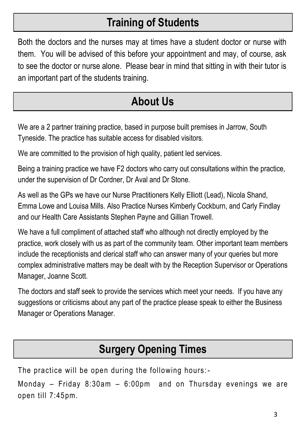## **Training of Students**

Both the doctors and the nurses may at times have a student doctor or nurse with them. You will be advised of this before your appointment and may, of course, ask to see the doctor or nurse alone. Please bear in mind that sitting in with their tutor is an important part of the students training.

## **About Us**

We are a 2 partner training practice, based in purpose built premises in Jarrow, South Tyneside. The practice has suitable access for disabled visitors.

We are committed to the provision of high quality, patient led services.

Being a training practice we have F2 doctors who carry out consultations within the practice, under the supervision of Dr Cordner, Dr Aval and Dr Stone.

As well as the GPs we have our Nurse Practitioners Kelly Elliott (Lead), Nicola Shand, Emma Lowe and Louisa Mills. Also Practice Nurses Kimberly Cockburn, and Carly Findlay and our Health Care Assistants Stephen Payne and Gillian Trowell.

We have a full compliment of attached staff who although not directly employed by the practice, work closely with us as part of the community team. Other important team members include the receptionists and clerical staff who can answer many of your queries but more complex administrative matters may be dealt with by the Reception Supervisor or Operations Manager, Joanne Scott.

The doctors and staff seek to provide the services which meet your needs. If you have any suggestions or criticisms about any part of the practice please speak to either the Business Manager or Operations Manager.

#### **Surgery Opening Times**

The practice will be open during the following hours: -

Monday – Friday 8:30am – 6:00pm and on Thursday evenings we are open till 7:45pm.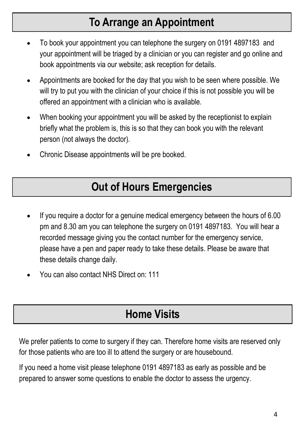#### **To Arrange an Appointment**

- To book your appointment you can telephone the surgery on 0191 4897183 and your appointment will be triaged by a clinician or you can register and go online and book appointments via our website; ask reception for details.
- Appointments are booked for the day that you wish to be seen where possible. We will try to put you with the clinician of your choice if this is not possible you will be offered an appointment with a clinician who is available.
- When booking your appointment you will be asked by the receptionist to explain briefly what the problem is, this is so that they can book you with the relevant person (not always the doctor).
- Chronic Disease appointments will be pre booked.

#### **Out of Hours Emergencies**

- If you require a doctor for a genuine medical emergency between the hours of 6.00 pm and 8.30 am you can telephone the surgery on 0191 4897183. You will hear a recorded message giving you the contact number for the emergency service, please have a pen and paper ready to take these details. Please be aware that these details change daily.
- You can also contact NHS Direct on: 111

#### **Home Visits**

We prefer patients to come to surgery if they can. Therefore home visits are reserved only for those patients who are too ill to attend the surgery or are housebound.

If you need a home visit please telephone 0191 4897183 as early as possible and be prepared to answer some questions to enable the doctor to assess the urgency.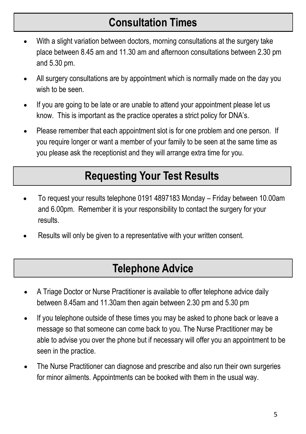## **Consultation Times**

- With a slight variation between doctors, morning consultations at the surgery take place between 8.45 am and 11.30 am and afternoon consultations between 2.30 pm and 5.30 pm.
- All surgery consultations are by appointment which is normally made on the day you wish to be seen.
- If you are going to be late or are unable to attend your appointment please let us know. This is important as the practice operates a strict policy for DNA's.
- Please remember that each appointment slot is for one problem and one person. If you require longer or want a member of your family to be seen at the same time as you please ask the receptionist and they will arrange extra time for you.

## **Requesting Your Test Results**

- To request your results telephone 0191 4897183 Monday Friday between 10.00am and 6.00pm. Remember it is your responsibility to contact the surgery for your results.
- Results will only be given to a representative with your written consent.

#### **Telephone Advice**

- A Triage Doctor or Nurse Practitioner is available to offer telephone advice daily between 8.45am and 11.30am then again between 2.30 pm and 5.30 pm
- If you telephone outside of these times you may be asked to phone back or leave a message so that someone can come back to you. The Nurse Practitioner may be able to advise you over the phone but if necessary will offer you an appointment to be seen in the practice.
- The Nurse Practitioner can diagnose and prescribe and also run their own surgeries for minor ailments. Appointments can be booked with them in the usual way.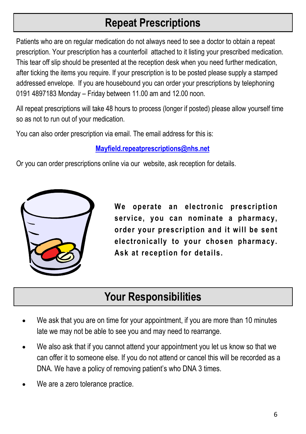## **Repeat Prescriptions**

Patients who are on regular medication do not always need to see a doctor to obtain a repeat prescription. Your prescription has a counterfoil attached to it listing your prescribed medication. This tear off slip should be presented at the reception desk when you need further medication, after ticking the items you require. If your prescription is to be posted please supply a stamped addressed envelope. If you are housebound you can order your prescriptions by telephoning 0191 4897183 Monday – Friday between 11.00 am and 12.00 noon.

All repeat prescriptions will take 48 hours to process (longer if posted) please allow yourself time so as not to run out of your medication.

You can also order prescription via email. The email address for this is:

#### **[Mayfield.repeatprescriptions@nhs.net](mailto:mayfield.repeatprescriptions@nhs.net)**

Or you can order prescriptions online via our website, ask reception for details.



**We operate an electronic prescription service, you can nominate a pharmacy, order your prescription and it will be sent electronically to your chosen pharmacy. Ask at reception for details.**

## **Your Responsibilities**

- We ask that you are on time for your appointment, if you are more than 10 minutes late we may not be able to see you and may need to rearrange.
- We also ask that if you cannot attend your appointment you let us know so that we can offer it to someone else. If you do not attend or cancel this will be recorded as a DNA. We have a policy of removing patient's who DNA 3 times.
- We are a zero tolerance practice.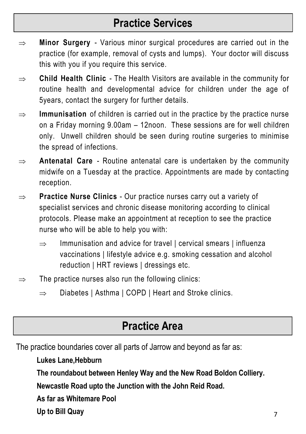#### **Practice Services**

- $\Rightarrow$  **Minor Surgery** Various minor surgical procedures are carried out in the practice (for example, removal of cysts and lumps). Your doctor will discuss this with you if you require this service.
- **Child Health Clinic**  The Health Visitors are available in the community for routine health and developmental advice for children under the age of 5years, contact the surgery for further details.
- $\Rightarrow$  **Immunisation** of children is carried out in the practice by the practice nurse on a Friday morning 9.00am – 12noon. These sessions are for well children only. Unwell children should be seen during routine surgeries to minimise the spread of infections.
- $\Rightarrow$  **Antenatal Care** Routine antenatal care is undertaken by the community midwife on a Tuesday at the practice. Appointments are made by contacting reception.
- ⇒ **Practice Nurse Clinics** Our practice nurses carry out a variety of specialist services and chronic disease monitoring according to clinical protocols. Please make an appointment at reception to see the practice nurse who will be able to help you with:
	- $\Rightarrow$  Immunisation and advice for travel | cervical smears | influenza vaccinations | lifestyle advice e.g. smoking cessation and alcohol reduction | HRT reviews | dressings etc.
- $\Rightarrow$  The practice nurses also run the following clinics:
	- $\Rightarrow$  Diabetes | Asthma | COPD | Heart and Stroke clinics.

#### **Practice Area**

The practice boundaries cover all parts of Jarrow and beyond as far as:

#### **Lukes Lane,Hebburn**

**The roundabout between Henley Way and the New Road Boldon Colliery.**

**Newcastle Road upto the Junction with the John Reid Road.**

**As far as Whitemare Pool**

**Up to Bill Quay**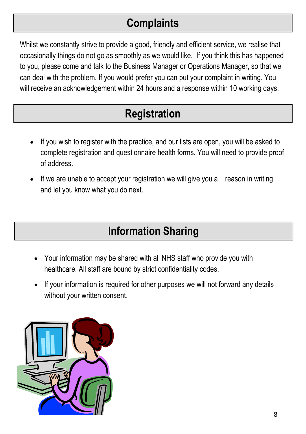## **Complaints**

Whilst we constantly strive to provide a good, friendly and efficient service, we realise that occasionally things do not go as smoothly as we would like. If you think this has happened to you, please come and talk to the Business Manager or Operations Manager, so that we can deal with the problem. If you would prefer you can put your complaint in writing. You will receive an acknowledgement within 24 hours and a response within 10 working days.

## **Registration**

- If you wish to register with the practice, and our lists are open, you will be asked to complete registration and questionnaire health forms. You will need to provide proof of address.
- If we are unable to accept your registration we will give you a reason in writing and let you know what you do next.

## **Information Sharing**

- Your information may be shared with all NHS staff who provide you with healthcare. All staff are bound by strict confidentiality codes.
- If your information is required for other purposes we will not forward any details without your written consent.